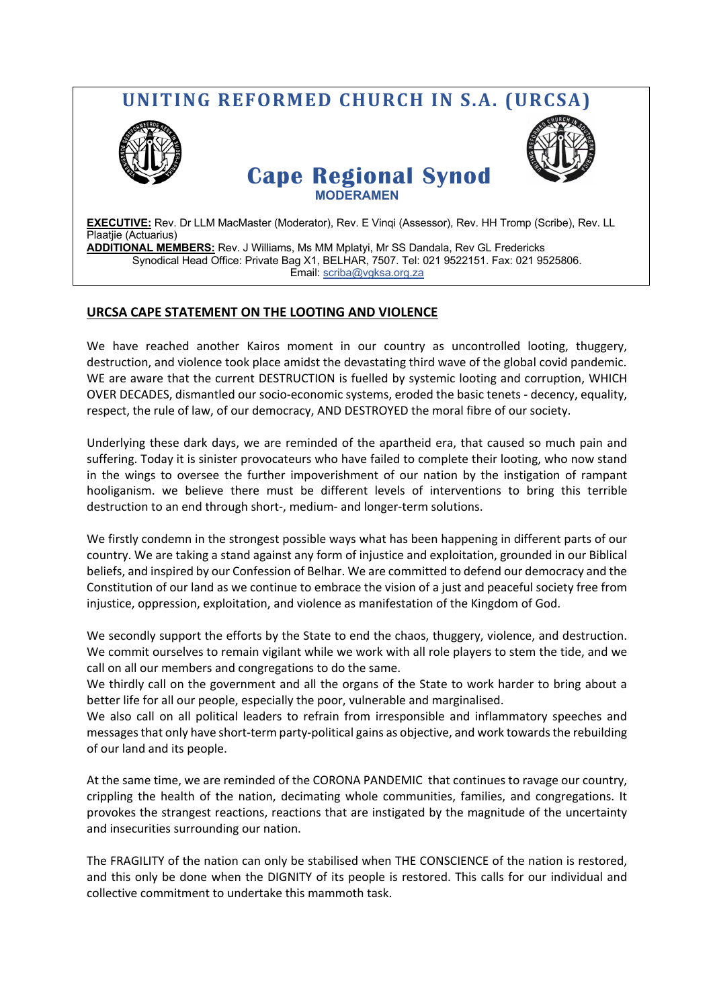## **UNITING REFORMED CHURCH IN S.A. (URCSA) Cape Regional Synod MODERAMEN EXECUTIVE:** Rev. Dr LLM MacMaster (Moderator), Rev. E Vinqi (Assessor), Rev. HH Tromp (Scribe), Rev. LL Plaatjie (Actuarius)

**ADDITIONAL MEMBERS:** Rev. J Williams, Ms MM Mplatyi, Mr SS Dandala, Rev GL Fredericks Synodical Head Office: Private Bag X1, BELHAR, 7507. Tel: 021 9522151. Fax: 021 9525806. Email: scriba@vgksa.org.za

## **URCSA CAPE STATEMENT ON THE LOOTING AND VIOLENCE**

We have reached another Kairos moment in our country as uncontrolled looting, thuggery, destruction, and violence took place amidst the devastating third wave of the global covid pandemic. WE are aware that the current DESTRUCTION is fuelled by systemic looting and corruption, WHICH OVER DECADES, dismantled our socio-economic systems, eroded the basic tenets - decency, equality, respect, the rule of law, of our democracy, AND DESTROYED the moral fibre of our society.

Underlying these dark days, we are reminded of the apartheid era, that caused so much pain and suffering. Today it is sinister provocateurs who have failed to complete their looting, who now stand in the wings to oversee the further impoverishment of our nation by the instigation of rampant hooliganism. we believe there must be different levels of interventions to bring this terrible destruction to an end through short-, medium- and longer-term solutions.

We firstly condemn in the strongest possible ways what has been happening in different parts of our country. We are taking a stand against any form of injustice and exploitation, grounded in our Biblical beliefs, and inspired by our Confession of Belhar. We are committed to defend our democracy and the Constitution of our land as we continue to embrace the vision of a just and peaceful society free from injustice, oppression, exploitation, and violence as manifestation of the Kingdom of God.

We secondly support the efforts by the State to end the chaos, thuggery, violence, and destruction. We commit ourselves to remain vigilant while we work with all role players to stem the tide, and we call on all our members and congregations to do the same.

We thirdly call on the government and all the organs of the State to work harder to bring about a better life for all our people, especially the poor, vulnerable and marginalised.

We also call on all political leaders to refrain from irresponsible and inflammatory speeches and messages that only have short-term party-political gains as objective, and work towards the rebuilding of our land and its people.

At the same time, we are reminded of the CORONA PANDEMIC that continues to ravage our country, crippling the health of the nation, decimating whole communities, families, and congregations. It provokes the strangest reactions, reactions that are instigated by the magnitude of the uncertainty and insecurities surrounding our nation.

The FRAGILITY of the nation can only be stabilised when THE CONSCIENCE of the nation is restored, and this only be done when the DIGNITY of its people is restored. This calls for our individual and collective commitment to undertake this mammoth task.